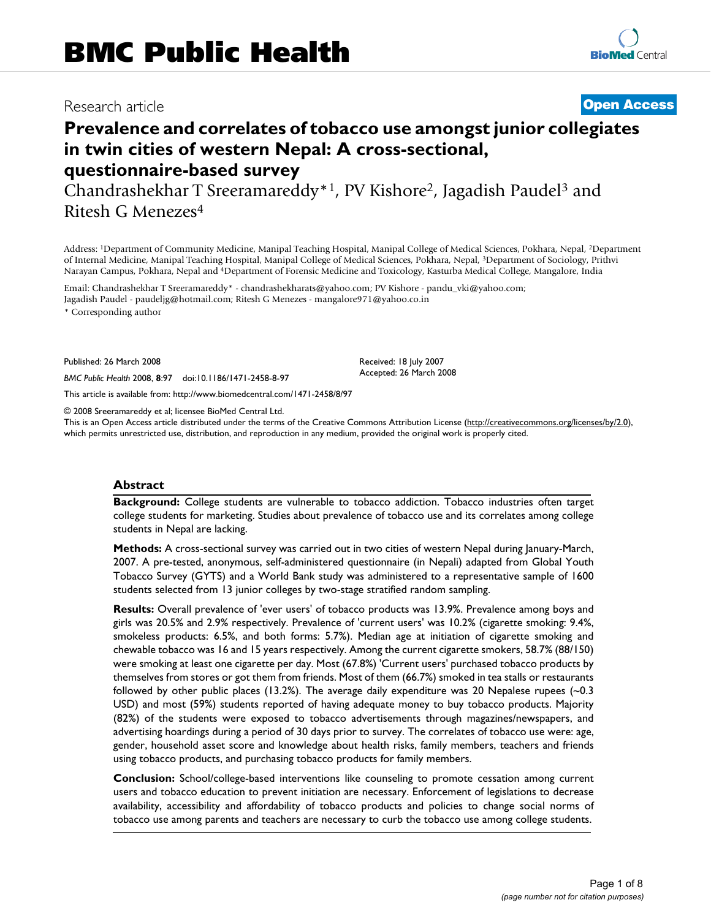# Research article **[Open Access](http://www.biomedcentral.com/info/about/charter/)**

# **Prevalence and correlates of tobacco use amongst junior collegiates in twin cities of western Nepal: A cross-sectional, questionnaire-based survey**

Chandrashekhar T Sreeramareddy\*1, PV Kishore2, Jagadish Paudel3 and Ritesh G Menezes4

Address: 1Department of Community Medicine, Manipal Teaching Hospital, Manipal College of Medical Sciences, Pokhara, Nepal, 2Department of Internal Medicine, Manipal Teaching Hospital, Manipal College of Medical Sciences, Pokhara, Nepal, 3Department of Sociology, Prithvi Narayan Campus, Pokhara, Nepal and 4Department of Forensic Medicine and Toxicology, Kasturba Medical College, Mangalore, India

Email: Chandrashekhar T Sreeramareddy\* - chandrashekharats@yahoo.com; PV Kishore - pandu\_vki@yahoo.com; Jagadish Paudel - paudeljg@hotmail.com; Ritesh G Menezes - mangalore971@yahoo.co.in

\* Corresponding author

Published: 26 March 2008

*BMC Public Health* 2008, **8**:97 doi:10.1186/1471-2458-8-97

[This article is available from: http://www.biomedcentral.com/1471-2458/8/97](http://www.biomedcentral.com/1471-2458/8/97)

© 2008 Sreeramareddy et al; licensee BioMed Central Ltd.

This is an Open Access article distributed under the terms of the Creative Commons Attribution License [\(http://creativecommons.org/licenses/by/2.0\)](http://creativecommons.org/licenses/by/2.0), which permits unrestricted use, distribution, and reproduction in any medium, provided the original work is properly cited.

Received: 18 July 2007 Accepted: 26 March 2008

#### **Abstract**

**Background:** College students are vulnerable to tobacco addiction. Tobacco industries often target college students for marketing. Studies about prevalence of tobacco use and its correlates among college students in Nepal are lacking.

**Methods:** A cross-sectional survey was carried out in two cities of western Nepal during January-March, 2007. A pre-tested, anonymous, self-administered questionnaire (in Nepali) adapted from Global Youth Tobacco Survey (GYTS) and a World Bank study was administered to a representative sample of 1600 students selected from 13 junior colleges by two-stage stratified random sampling.

**Results:** Overall prevalence of 'ever users' of tobacco products was 13.9%. Prevalence among boys and girls was 20.5% and 2.9% respectively. Prevalence of 'current users' was 10.2% (cigarette smoking: 9.4%, smokeless products: 6.5%, and both forms: 5.7%). Median age at initiation of cigarette smoking and chewable tobacco was 16 and 15 years respectively. Among the current cigarette smokers, 58.7% (88/150) were smoking at least one cigarette per day. Most (67.8%) 'Current users' purchased tobacco products by themselves from stores or got them from friends. Most of them (66.7%) smoked in tea stalls or restaurants followed by other public places (13.2%). The average daily expenditure was 20 Nepalese rupees (~0.3 USD) and most (59%) students reported of having adequate money to buy tobacco products. Majority (82%) of the students were exposed to tobacco advertisements through magazines/newspapers, and advertising hoardings during a period of 30 days prior to survey. The correlates of tobacco use were: age, gender, household asset score and knowledge about health risks, family members, teachers and friends using tobacco products, and purchasing tobacco products for family members.

**Conclusion:** School/college-based interventions like counseling to promote cessation among current users and tobacco education to prevent initiation are necessary. Enforcement of legislations to decrease availability, accessibility and affordability of tobacco products and policies to change social norms of tobacco use among parents and teachers are necessary to curb the tobacco use among college students.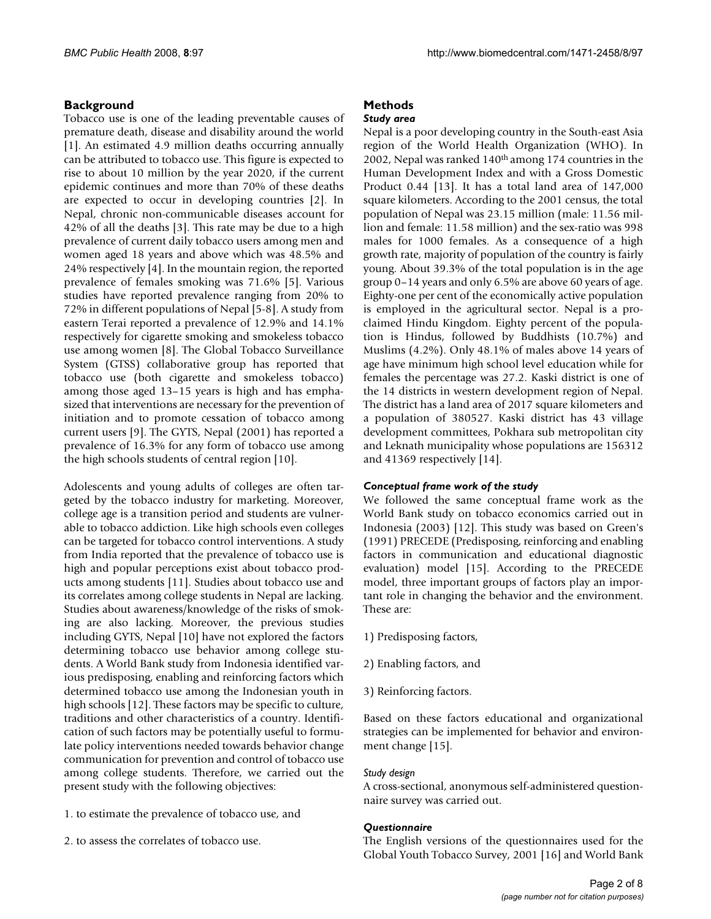# **Background**

Tobacco use is one of the leading preventable causes of premature death, disease and disability around the world [1]. An estimated 4.9 million deaths occurring annually can be attributed to tobacco use. This figure is expected to rise to about 10 million by the year 2020, if the current epidemic continues and more than 70% of these deaths are expected to occur in developing countries [2]. In Nepal, chronic non-communicable diseases account for 42% of all the deaths [3]. This rate may be due to a high prevalence of current daily tobacco users among men and women aged 18 years and above which was 48.5% and 24% respectively [4]. In the mountain region, the reported prevalence of females smoking was 71.6% [5]. Various studies have reported prevalence ranging from 20% to 72% in different populations of Nepal [5-8]. A study from eastern Terai reported a prevalence of 12.9% and 14.1% respectively for cigarette smoking and smokeless tobacco use among women [8]. The Global Tobacco Surveillance System (GTSS) collaborative group has reported that tobacco use (both cigarette and smokeless tobacco) among those aged 13–15 years is high and has emphasized that interventions are necessary for the prevention of initiation and to promote cessation of tobacco among current users [9]. The GYTS, Nepal (2001) has reported a prevalence of 16.3% for any form of tobacco use among the high schools students of central region [10].

Adolescents and young adults of colleges are often targeted by the tobacco industry for marketing. Moreover, college age is a transition period and students are vulnerable to tobacco addiction. Like high schools even colleges can be targeted for tobacco control interventions. A study from India reported that the prevalence of tobacco use is high and popular perceptions exist about tobacco products among students [11]. Studies about tobacco use and its correlates among college students in Nepal are lacking. Studies about awareness/knowledge of the risks of smoking are also lacking. Moreover, the previous studies including GYTS, Nepal [10] have not explored the factors determining tobacco use behavior among college students. A World Bank study from Indonesia identified various predisposing, enabling and reinforcing factors which determined tobacco use among the Indonesian youth in high schools [12]. These factors may be specific to culture, traditions and other characteristics of a country. Identification of such factors may be potentially useful to formulate policy interventions needed towards behavior change communication for prevention and control of tobacco use among college students. Therefore, we carried out the present study with the following objectives:

1. to estimate the prevalence of tobacco use, and

2. to assess the correlates of tobacco use.

# **Methods**

# *Study area*

Nepal is a poor developing country in the South-east Asia region of the World Health Organization (WHO). In 2002, Nepal was ranked 140<sup>th</sup> among 174 countries in the Human Development Index and with a Gross Domestic Product 0.44 [13]. It has a total land area of 147,000 square kilometers. According to the 2001 census, the total population of Nepal was 23.15 million (male: 11.56 million and female: 11.58 million) and the sex-ratio was 998 males for 1000 females. As a consequence of a high growth rate, majority of population of the country is fairly young. About 39.3% of the total population is in the age group 0–14 years and only 6.5% are above 60 years of age. Eighty-one per cent of the economically active population is employed in the agricultural sector. Nepal is a proclaimed Hindu Kingdom. Eighty percent of the population is Hindus, followed by Buddhists (10.7%) and Muslims (4.2%). Only 48.1% of males above 14 years of age have minimum high school level education while for females the percentage was 27.2. Kaski district is one of the 14 districts in western development region of Nepal. The district has a land area of 2017 square kilometers and a population of 380527. Kaski district has 43 village development committees, Pokhara sub metropolitan city and Leknath municipality whose populations are 156312 and 41369 respectively [14].

# *Conceptual frame work of the study*

We followed the same conceptual frame work as the World Bank study on tobacco economics carried out in Indonesia (2003) [12]. This study was based on Green's (1991) PRECEDE (Predisposing, reinforcing and enabling factors in communication and educational diagnostic evaluation) model [15]. According to the PRECEDE model, three important groups of factors play an important role in changing the behavior and the environment. These are:

- 1) Predisposing factors,
- 2) Enabling factors, and
- 3) Reinforcing factors.

Based on these factors educational and organizational strategies can be implemented for behavior and environment change [15].

# *Study design*

A cross-sectional, anonymous self-administered questionnaire survey was carried out.

# *Questionnaire*

The English versions of the questionnaires used for the Global Youth Tobacco Survey, 2001 [16] and World Bank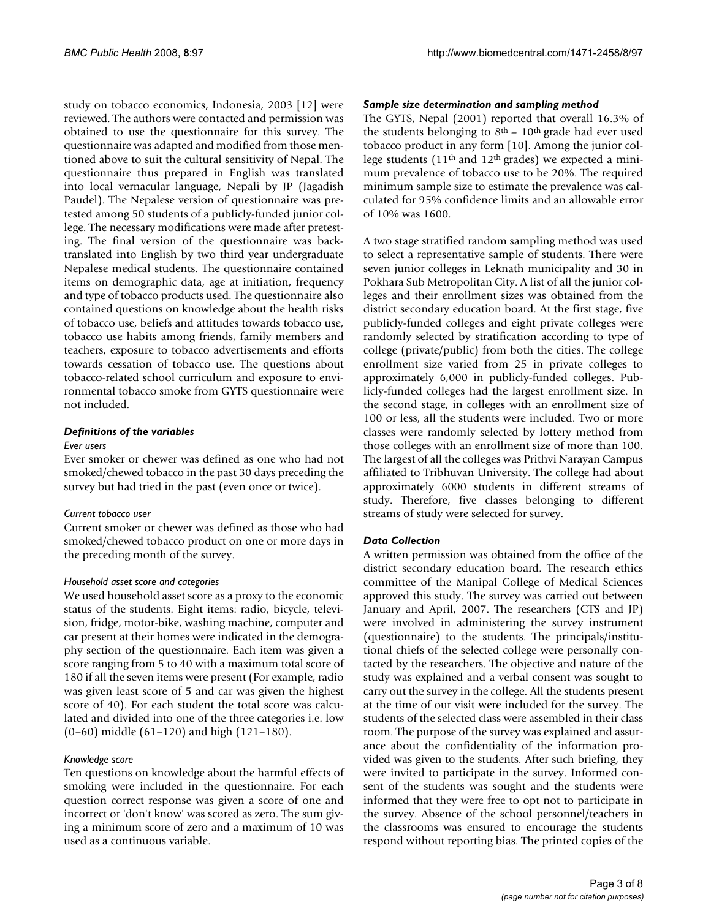study on tobacco economics, Indonesia, 2003 [12] were reviewed. The authors were contacted and permission was obtained to use the questionnaire for this survey. The questionnaire was adapted and modified from those mentioned above to suit the cultural sensitivity of Nepal. The questionnaire thus prepared in English was translated into local vernacular language, Nepali by JP (Jagadish Paudel). The Nepalese version of questionnaire was pretested among 50 students of a publicly-funded junior college. The necessary modifications were made after pretesting. The final version of the questionnaire was backtranslated into English by two third year undergraduate Nepalese medical students. The questionnaire contained items on demographic data, age at initiation, frequency and type of tobacco products used. The questionnaire also contained questions on knowledge about the health risks of tobacco use, beliefs and attitudes towards tobacco use, tobacco use habits among friends, family members and teachers, exposure to tobacco advertisements and efforts towards cessation of tobacco use. The questions about tobacco-related school curriculum and exposure to environmental tobacco smoke from GYTS questionnaire were not included.

#### *Definitions of the variables*

#### *Ever users*

Ever smoker or chewer was defined as one who had not smoked/chewed tobacco in the past 30 days preceding the survey but had tried in the past (even once or twice).

#### *Current tobacco user*

Current smoker or chewer was defined as those who had smoked/chewed tobacco product on one or more days in the preceding month of the survey.

#### *Household asset score and categories*

We used household asset score as a proxy to the economic status of the students. Eight items: radio, bicycle, television, fridge, motor-bike, washing machine, computer and car present at their homes were indicated in the demography section of the questionnaire. Each item was given a score ranging from 5 to 40 with a maximum total score of 180 if all the seven items were present (For example, radio was given least score of 5 and car was given the highest score of 40). For each student the total score was calculated and divided into one of the three categories i.e. low (0–60) middle (61–120) and high (121–180).

#### *Knowledge score*

Ten questions on knowledge about the harmful effects of smoking were included in the questionnaire. For each question correct response was given a score of one and incorrect or 'don't know' was scored as zero. The sum giving a minimum score of zero and a maximum of 10 was used as a continuous variable.

#### *Sample size determination and sampling method*

The GYTS, Nepal (2001) reported that overall 16.3% of the students belonging to  $8<sup>th</sup> - 10<sup>th</sup>$  grade had ever used tobacco product in any form [10]. Among the junior college students (11th and 12th grades) we expected a minimum prevalence of tobacco use to be 20%. The required minimum sample size to estimate the prevalence was calculated for 95% confidence limits and an allowable error of 10% was 1600.

A two stage stratified random sampling method was used to select a representative sample of students. There were seven junior colleges in Leknath municipality and 30 in Pokhara Sub Metropolitan City. A list of all the junior colleges and their enrollment sizes was obtained from the district secondary education board. At the first stage, five publicly-funded colleges and eight private colleges were randomly selected by stratification according to type of college (private/public) from both the cities. The college enrollment size varied from 25 in private colleges to approximately 6,000 in publicly-funded colleges. Publicly-funded colleges had the largest enrollment size. In the second stage, in colleges with an enrollment size of 100 or less, all the students were included. Two or more classes were randomly selected by lottery method from those colleges with an enrollment size of more than 100. The largest of all the colleges was Prithvi Narayan Campus affiliated to Tribhuvan University. The college had about approximately 6000 students in different streams of study. Therefore, five classes belonging to different streams of study were selected for survey.

#### *Data Collection*

A written permission was obtained from the office of the district secondary education board. The research ethics committee of the Manipal College of Medical Sciences approved this study. The survey was carried out between January and April, 2007. The researchers (CTS and JP) were involved in administering the survey instrument (questionnaire) to the students. The principals/institutional chiefs of the selected college were personally contacted by the researchers. The objective and nature of the study was explained and a verbal consent was sought to carry out the survey in the college. All the students present at the time of our visit were included for the survey. The students of the selected class were assembled in their class room. The purpose of the survey was explained and assurance about the confidentiality of the information provided was given to the students. After such briefing, they were invited to participate in the survey. Informed consent of the students was sought and the students were informed that they were free to opt not to participate in the survey. Absence of the school personnel/teachers in the classrooms was ensured to encourage the students respond without reporting bias. The printed copies of the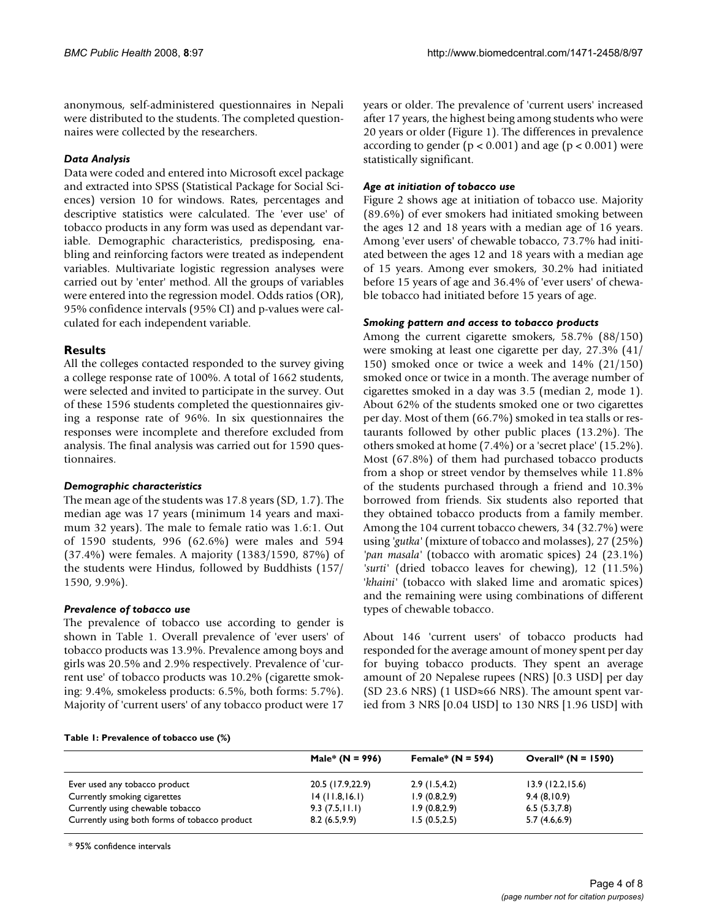anonymous, self-administered questionnaires in Nepali were distributed to the students. The completed questionnaires were collected by the researchers.

#### *Data Analysis*

Data were coded and entered into Microsoft excel package and extracted into SPSS (Statistical Package for Social Sciences) version 10 for windows. Rates, percentages and descriptive statistics were calculated. The 'ever use' of tobacco products in any form was used as dependant variable. Demographic characteristics, predisposing, enabling and reinforcing factors were treated as independent variables. Multivariate logistic regression analyses were carried out by 'enter' method. All the groups of variables were entered into the regression model. Odds ratios (OR), 95% confidence intervals (95% CI) and p-values were calculated for each independent variable.

# **Results**

All the colleges contacted responded to the survey giving a college response rate of 100%. A total of 1662 students, were selected and invited to participate in the survey. Out of these 1596 students completed the questionnaires giving a response rate of 96%. In six questionnaires the responses were incomplete and therefore excluded from analysis. The final analysis was carried out for 1590 questionnaires.

# *Demographic characteristics*

The mean age of the students was 17.8 years (SD, 1.7). The median age was 17 years (minimum 14 years and maximum 32 years). The male to female ratio was 1.6:1. Out of 1590 students, 996 (62.6%) were males and 594 (37.4%) were females. A majority (1383/1590, 87%) of the students were Hindus, followed by Buddhists (157/ 1590, 9.9%).

# *Prevalence of tobacco use*

The prevalence of tobacco use according to gender is shown in Table 1. Overall prevalence of 'ever users' of tobacco products was 13.9%. Prevalence among boys and girls was 20.5% and 2.9% respectively. Prevalence of 'current use' of tobacco products was 10.2% (cigarette smoking: 9.4%, smokeless products: 6.5%, both forms: 5.7%). Majority of 'current users' of any tobacco product were 17 years or older. The prevalence of 'current users' increased after 17 years, the highest being among students who were 20 years or older (Figure 1). The differences in prevalence according to gender ( $p < 0.001$ ) and age ( $p < 0.001$ ) were statistically significant.

# *Age at initiation of tobacco use*

Figure 2 shows age at initiation of tobacco use. Majority (89.6%) of ever smokers had initiated smoking between the ages 12 and 18 years with a median age of 16 years. Among 'ever users' of chewable tobacco, 73.7% had initiated between the ages 12 and 18 years with a median age of 15 years. Among ever smokers, 30.2% had initiated before 15 years of age and 36.4% of 'ever users' of chewable tobacco had initiated before 15 years of age.

# *Smoking pattern and access to tobacco products*

Among the current cigarette smokers, 58.7% (88/150) were smoking at least one cigarette per day, 27.3% (41/ 150) smoked once or twice a week and 14% (21/150) smoked once or twice in a month. The average number of cigarettes smoked in a day was 3.5 (median 2, mode 1). About 62% of the students smoked one or two cigarettes per day. Most of them (66.7%) smoked in tea stalls or restaurants followed by other public places (13.2%). The others smoked at home (7.4%) or a 'secret place' (15.2%). Most (67.8%) of them had purchased tobacco products from a shop or street vendor by themselves while 11.8% of the students purchased through a friend and 10.3% borrowed from friends. Six students also reported that they obtained tobacco products from a family member. Among the 104 current tobacco chewers, 34 (32.7%) were using *'gutka'* (mixture of tobacco and molasses), 27 (25%) *'pan masala'* (tobacco with aromatic spices) 24 (23.1%) *'surti'* (dried tobacco leaves for chewing), 12 (11.5%) '*khaini'* (tobacco with slaked lime and aromatic spices) and the remaining were using combinations of different types of chewable tobacco.

About 146 'current users' of tobacco products had responded for the average amount of money spent per day for buying tobacco products. They spent an average amount of 20 Nepalese rupees (NRS) [0.3 USD] per day (SD 23.6 NRS) (1 USD≈66 NRS). The amount spent varied from 3 NRS [0.04 USD] to 130 NRS [1.96 USD] with

#### **Table 1: Prevalence of tobacco use (%)**

|                                               | Male* (N = 996)  | Female* $(N = 594)$ | Overall* $(N = 1590)$ |
|-----------------------------------------------|------------------|---------------------|-----------------------|
| Ever used any tobacco product                 | 20.5 (17.9,22.9) | 2.9(1.5, 4.2)       | 13.9(12.2, 15.6)      |
| Currently smoking cigarettes                  | $14$ (11.8,16.1) | 1.9(0.8, 2.9)       | 9.4(8,10.9)           |
| Currently using chewable tobacco              | 9.3(7.5,11.1)    | 1.9(0.8, 2.9)       | 6.5(5.3,7.8)          |
| Currently using both forms of tobacco product | 8.2(6.5,9.9)     | 1.5(0.5, 2.5)       | 5.7(4.6,6.9)          |

\* 95% confidence intervals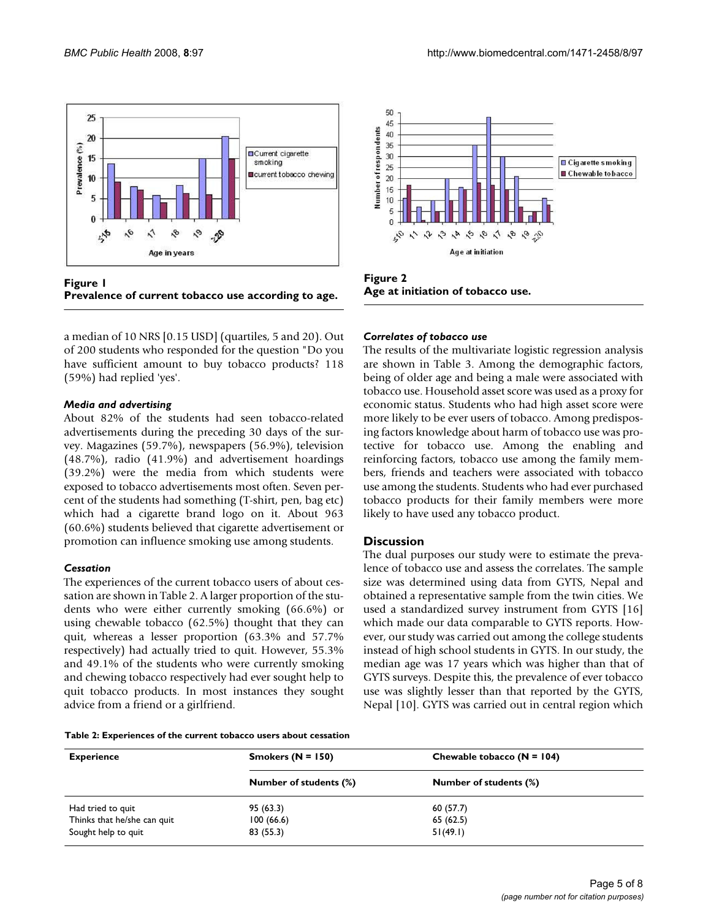

**Figure 1 Prevalence of current tobacco use according to age.**

a median of 10 NRS [0.15 USD] (quartiles, 5 and 20). Out of 200 students who responded for the question "Do you have sufficient amount to buy tobacco products? 118 (59%) had replied 'yes'.

# *Media and advertising*

About 82% of the students had seen tobacco-related advertisements during the preceding 30 days of the survey. Magazines (59.7%), newspapers (56.9%), television (48.7%), radio (41.9%) and advertisement hoardings (39.2%) were the media from which students were exposed to tobacco advertisements most often. Seven percent of the students had something (T-shirt, pen, bag etc) which had a cigarette brand logo on it. About 963 (60.6%) students believed that cigarette advertisement or promotion can influence smoking use among students.

#### *Cessation*

The experiences of the current tobacco users of about cessation are shown in Table 2. A larger proportion of the students who were either currently smoking (66.6%) or using chewable tobacco (62.5%) thought that they can quit, whereas a lesser proportion (63.3% and 57.7% respectively) had actually tried to quit. However, 55.3% and 49.1% of the students who were currently smoking and chewing tobacco respectively had ever sought help to quit tobacco products. In most instances they sought advice from a friend or a girlfriend.



**Figure 2 Age at initiation of tobacco use.**

# *Correlates of tobacco use*

The results of the multivariate logistic regression analysis are shown in Table 3. Among the demographic factors, being of older age and being a male were associated with tobacco use. Household asset score was used as a proxy for economic status. Students who had high asset score were more likely to be ever users of tobacco. Among predisposing factors knowledge about harm of tobacco use was protective for tobacco use. Among the enabling and reinforcing factors, tobacco use among the family members, friends and teachers were associated with tobacco use among the students. Students who had ever purchased tobacco products for their family members were more likely to have used any tobacco product.

# **Discussion**

The dual purposes our study were to estimate the prevalence of tobacco use and assess the correlates. The sample size was determined using data from GYTS, Nepal and obtained a representative sample from the twin cities. We used a standardized survey instrument from GYTS [16] which made our data comparable to GYTS reports. However, our study was carried out among the college students instead of high school students in GYTS. In our study, the median age was 17 years which was higher than that of GYTS surveys. Despite this, the prevalence of ever tobacco use was slightly lesser than that reported by the GYTS, Nepal [10]. GYTS was carried out in central region which

**Table 2: Experiences of the current tobacco users about cessation**

| <b>Experience</b>           | Smokers $(N = 150)$           | Chewable tobacco $(N = 104)$ |  |
|-----------------------------|-------------------------------|------------------------------|--|
|                             | <b>Number of students (%)</b> | Number of students (%)       |  |
| Had tried to quit           | 95(63.3)                      | 60(57.7)                     |  |
| Thinks that he/she can quit | 100(66.6)                     | 65 (62.5)                    |  |
| Sought help to quit         | 83 (55.3)                     | 51(49.1)                     |  |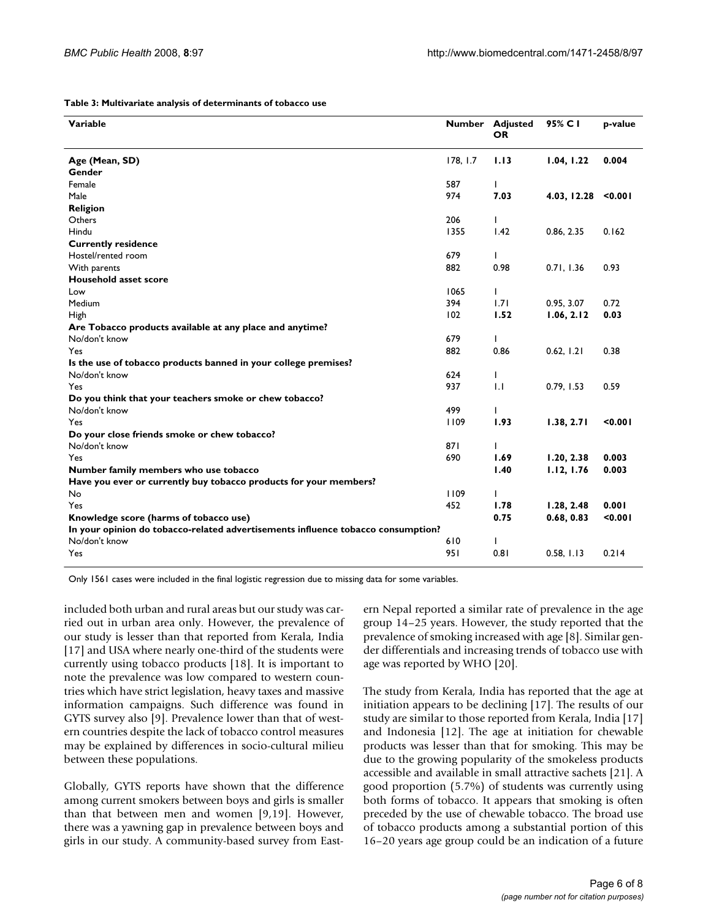| Table 3: Multivariate analysis of determinants of tobacco use |  |
|---------------------------------------------------------------|--|
|---------------------------------------------------------------|--|

| Variable                                                                         |          | Number Adjusted<br><b>OR</b> | 95% C I     | p-value |
|----------------------------------------------------------------------------------|----------|------------------------------|-------------|---------|
| Age (Mean, SD)                                                                   | 178, 1.7 | 1.13                         | 1.04, 1.22  | 0.004   |
| Gender                                                                           |          |                              |             |         |
| Female                                                                           | 587      | ı                            |             |         |
| Male                                                                             | 974      | 7.03                         | 4.03, 12.28 | < 0.001 |
| <b>Religion</b>                                                                  |          |                              |             |         |
| Others                                                                           | 206      | ı                            |             |         |
| Hindu                                                                            | 1355     | 1.42                         | 0.86, 2.35  | 0.162   |
| <b>Currently residence</b>                                                       |          |                              |             |         |
| Hostel/rented room                                                               | 679      | ı                            |             |         |
| With parents                                                                     | 882      | 0.98                         | 0.71, 1.36  | 0.93    |
| <b>Household asset score</b>                                                     |          |                              |             |         |
| Low                                                                              | 1065     | ı                            |             |         |
| Medium                                                                           | 394      | 1.71                         | 0.95, 3.07  | 0.72    |
| High                                                                             | 102      | 1.52                         | 1.06, 2.12  | 0.03    |
| Are Tobacco products available at any place and anytime?                         |          |                              |             |         |
| No/don't know                                                                    | 679      | ı                            |             |         |
| Yes                                                                              | 882      | 0.86                         | 0.62, 1.21  | 0.38    |
| Is the use of tobacco products banned in your college premises?                  |          |                              |             |         |
| No/don't know                                                                    | 624      | ı                            |             |         |
| Yes                                                                              | 937      | $\mathbf{L}$                 | 0.79, 1.53  | 0.59    |
| Do you think that your teachers smoke or chew tobacco?                           |          |                              |             |         |
| No/don't know                                                                    | 499      |                              |             |         |
| Yes                                                                              | 1109     | 1.93                         | 1.38, 2.71  | < 0.001 |
| Do your close friends smoke or chew tobacco?                                     |          |                              |             |         |
| No/don't know                                                                    | 871      |                              |             |         |
| Yes                                                                              | 690      | 1.69                         | 1.20, 2.38  | 0.003   |
| Number family members who use tobacco                                            |          | 1.40                         | 1.12, 1.76  | 0.003   |
| Have you ever or currently buy tobacco products for your members?                |          |                              |             |         |
| No                                                                               | 1109     |                              |             |         |
| Yes                                                                              | 452      | 1.78                         | 1.28, 2.48  | 0.001   |
| Knowledge score (harms of tobacco use)                                           |          | 0.75                         | 0.68, 0.83  | < 0.001 |
| In your opinion do tobacco-related advertisements influence tobacco consumption? |          |                              |             |         |
| No/don't know                                                                    | 610      | ı                            |             |         |
| Yes                                                                              | 951      | 0.81                         | 0.58, 1.13  | 0.214   |

Only 1561 cases were included in the final logistic regression due to missing data for some variables.

included both urban and rural areas but our study was carried out in urban area only. However, the prevalence of our study is lesser than that reported from Kerala, India [17] and USA where nearly one-third of the students were currently using tobacco products [18]. It is important to note the prevalence was low compared to western countries which have strict legislation, heavy taxes and massive information campaigns. Such difference was found in GYTS survey also [9]. Prevalence lower than that of western countries despite the lack of tobacco control measures may be explained by differences in socio-cultural milieu between these populations.

Globally, GYTS reports have shown that the difference among current smokers between boys and girls is smaller than that between men and women [9,19]. However, there was a yawning gap in prevalence between boys and girls in our study. A community-based survey from Eastern Nepal reported a similar rate of prevalence in the age group 14–25 years. However, the study reported that the prevalence of smoking increased with age [8]. Similar gender differentials and increasing trends of tobacco use with age was reported by WHO [20].

The study from Kerala, India has reported that the age at initiation appears to be declining [17]. The results of our study are similar to those reported from Kerala, India [17] and Indonesia [12]. The age at initiation for chewable products was lesser than that for smoking. This may be due to the growing popularity of the smokeless products accessible and available in small attractive sachets [21]. A good proportion (5.7%) of students was currently using both forms of tobacco. It appears that smoking is often preceded by the use of chewable tobacco. The broad use of tobacco products among a substantial portion of this 16–20 years age group could be an indication of a future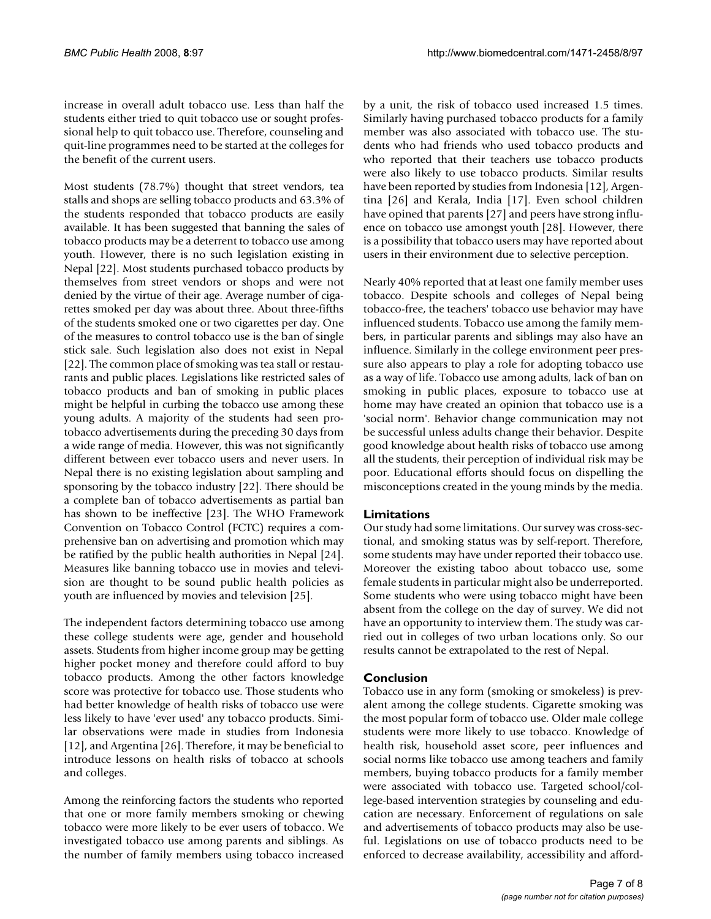increase in overall adult tobacco use. Less than half the students either tried to quit tobacco use or sought professional help to quit tobacco use. Therefore, counseling and quit-line programmes need to be started at the colleges for the benefit of the current users.

Most students (78.7%) thought that street vendors, tea stalls and shops are selling tobacco products and 63.3% of the students responded that tobacco products are easily available. It has been suggested that banning the sales of tobacco products may be a deterrent to tobacco use among youth. However, there is no such legislation existing in Nepal [22]. Most students purchased tobacco products by themselves from street vendors or shops and were not denied by the virtue of their age. Average number of cigarettes smoked per day was about three. About three-fifths of the students smoked one or two cigarettes per day. One of the measures to control tobacco use is the ban of single stick sale. Such legislation also does not exist in Nepal [22]. The common place of smoking was tea stall or restaurants and public places. Legislations like restricted sales of tobacco products and ban of smoking in public places might be helpful in curbing the tobacco use among these young adults. A majority of the students had seen protobacco advertisements during the preceding 30 days from a wide range of media. However, this was not significantly different between ever tobacco users and never users. In Nepal there is no existing legislation about sampling and sponsoring by the tobacco industry [22]. There should be a complete ban of tobacco advertisements as partial ban has shown to be ineffective [23]. The WHO Framework Convention on Tobacco Control (FCTC) requires a comprehensive ban on advertising and promotion which may be ratified by the public health authorities in Nepal [24]. Measures like banning tobacco use in movies and television are thought to be sound public health policies as youth are influenced by movies and television [25].

The independent factors determining tobacco use among these college students were age, gender and household assets. Students from higher income group may be getting higher pocket money and therefore could afford to buy tobacco products. Among the other factors knowledge score was protective for tobacco use. Those students who had better knowledge of health risks of tobacco use were less likely to have 'ever used' any tobacco products. Similar observations were made in studies from Indonesia [12], and Argentina [26]. Therefore, it may be beneficial to introduce lessons on health risks of tobacco at schools and colleges.

Among the reinforcing factors the students who reported that one or more family members smoking or chewing tobacco were more likely to be ever users of tobacco. We investigated tobacco use among parents and siblings. As the number of family members using tobacco increased by a unit, the risk of tobacco used increased 1.5 times. Similarly having purchased tobacco products for a family member was also associated with tobacco use. The students who had friends who used tobacco products and who reported that their teachers use tobacco products were also likely to use tobacco products. Similar results have been reported by studies from Indonesia [12], Argentina [26] and Kerala, India [17]. Even school children have opined that parents [27] and peers have strong influence on tobacco use amongst youth [28]. However, there is a possibility that tobacco users may have reported about users in their environment due to selective perception.

Nearly 40% reported that at least one family member uses tobacco. Despite schools and colleges of Nepal being tobacco-free, the teachers' tobacco use behavior may have influenced students. Tobacco use among the family members, in particular parents and siblings may also have an influence. Similarly in the college environment peer pressure also appears to play a role for adopting tobacco use as a way of life. Tobacco use among adults, lack of ban on smoking in public places, exposure to tobacco use at home may have created an opinion that tobacco use is a 'social norm'. Behavior change communication may not be successful unless adults change their behavior. Despite good knowledge about health risks of tobacco use among all the students, their perception of individual risk may be poor. Educational efforts should focus on dispelling the misconceptions created in the young minds by the media.

# **Limitations**

Our study had some limitations. Our survey was cross-sectional, and smoking status was by self-report. Therefore, some students may have under reported their tobacco use. Moreover the existing taboo about tobacco use, some female students in particular might also be underreported. Some students who were using tobacco might have been absent from the college on the day of survey. We did not have an opportunity to interview them. The study was carried out in colleges of two urban locations only. So our results cannot be extrapolated to the rest of Nepal.

# **Conclusion**

Tobacco use in any form (smoking or smokeless) is prevalent among the college students. Cigarette smoking was the most popular form of tobacco use. Older male college students were more likely to use tobacco. Knowledge of health risk, household asset score, peer influences and social norms like tobacco use among teachers and family members, buying tobacco products for a family member were associated with tobacco use. Targeted school/college-based intervention strategies by counseling and education are necessary. Enforcement of regulations on sale and advertisements of tobacco products may also be useful. Legislations on use of tobacco products need to be enforced to decrease availability, accessibility and afford